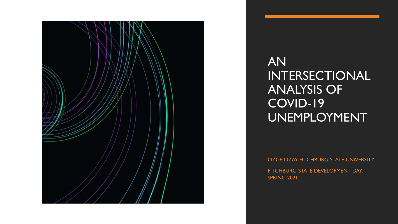

AN INTERSECTIONAL ANALYSIS OF COVID-19 UNEMPLOYMENT

OZGE OZAY, FITCHBURG STATE UNIVERSITY FITCHBURG STATE DEVELOPMENT DAY, SPRING 2021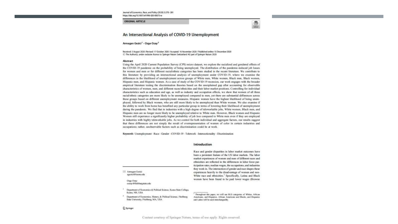Journal of Economics, Race, and Policy (2020) 3:270-281 https://doi.org/10.1007/s41996-020-00075-w

#### ORIGINAL ARTICLE

### $^{\circ}$

#### An Intersectional Analysis of COVID-19 Unemployment

Armagan Gezici<sup>1</sup> - Ozge Ozay<sup>2</sup>

Received: 3 August 2020 /Revised: 17 October 2020 / Accepted: 16 November 2020 / Published online: 15 December 2020 C The Author(s), under exclusive licence to Springer Nature Switzerland AG part of Springer Nature 2020

#### Abstract

Using the April 2020 Current Population Survey (CPS) micro dataset, we explore the racialized and gendered effects of the COVID-19 pandemic on the probability of being unemployed. The distribution of the pandemic-induced iob losses for women and men or for different racial/ethnic categories has been studied in the recent literature. We contribute to this literature by providing an intersectional analysis of unemployment under COVID-19, where we examine the differences in the likelihood of unemployment across groups of White men, White women, Black men, Black women, Hispanic men, and Hispanic women. As a case of study of the COVID-19 recession, our work engages with the broader empirical literature testing the discrimination theories based on the unexplained gap after accounting for observable characteristics of women, men, and different races/ethnicities and their labor market positions. Controlling for individual characteristics such as education and age, as well as industry and occupation effects, we show that women of all three racial/ethnic categories are more likely to be unemployed compared to men, yet there are substantial differences across these groups based on different unemployment measures. Hispanic women have the highest likelihood of being unemployed, followed by Black women, who are still more likely to be unemployed than White women. We also examine if the ability to work from home has benefited any particular group in terms of lowering their likelihood of unemployment during the pandemic. We find that in industries with a high degree of teleworkable jobs, White women, Black men, and Hispanic men are no longer more likely to be unemployed relative to White men. However, Black women and Hispanic Women still experience a significantly higher probability of job loss compared to White men even if they are employed in industries with highly teleworkable jobs. As we control for both individual and aggregate factors, our results suggest that these differences are not simply the result of overrepresentation of women of color in certain industries and occupations; rather, unobservable factors such as discrimination could be at work.

Keywords Unemployment - Race - Gender - COVID-19 - Telework - Intersectionality - Discrimination

#### Introduction

Amagan Garici agezici@keene.edu

> Onge Ozay oozay@flachburgstate.edu

Department of Economics & Political Science, Keene State College, Keine, NH, USA

Department of Economics, History, & Political Science, Fitchburg State University, Fitchburg, MA, USA

experiences heavily to the disadvantage of women and non-White race and ethnicities.' Specifically, Latina and Black women have been found to be paid lower wages (Browne

Race and gender disparities in labor market outcomes have been a persistent feature of the US labor markets. The labor market experiences of women and men of different races and ethnicities are reflected in the differences in labor force participation rates, median wages, the occupations, and industries they work in. The intersection of gender and race shapes these

Throughout this paper, we will use BLS categories of Whites, African Americans, and Hispanics. African Americans and Blacks, and Hispanics and Latinx will be used interchangeably.

#### 2. Springer

Content courtesy of Springer Nature, terms of use apply. Rights reserved.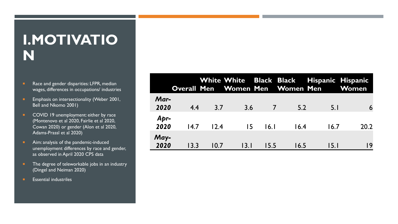### **I.MOTIVATIO N**

- Race and gender disparities: LFPR, median wages, differences in occupations/ industries
- **Emphasis on intersectionality (Weber 2001,** Bell and Nkomo 2001)
- **COVID 19 unemployment: either by race** (Montenovo et al 2020, Fairlie et al 2020, Cowan 2020) or gender (Alon et al 2020, Adams-Prassl et al 2020)
- **Aim:** analysis of the pandemic-induced unemployment differences by race and gender, as observed in April 2020 CPS data
- The degree of teleworkable jobs in an industry (Dingel and Neiman 2020)
- **Essential industriles**

|              |      |      |                |                |      | White White Black Black Hispanic Hispanic<br>Overall Men Women Men Women Men Women |      |
|--------------|------|------|----------------|----------------|------|------------------------------------------------------------------------------------|------|
| Mar-<br>2020 | 4.4  | 3.7  | 3.6            | $\overline{7}$ | 5.2  | 5.1                                                                                | 6    |
| Apr-<br>2020 | 14.7 | 12.4 | $\overline{5}$ | 16.1           | 16.4 | 16.7                                                                               | 20.2 |
| May-<br>2020 | 13.3 | 10.7 | 13.1           | 15.5           | 16.5 | 15.1                                                                               | 19   |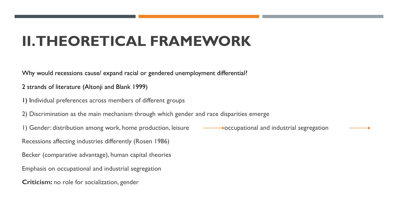## **II. THEORETICAL FRAMEWORK**

Why would recessions cause/ expand racial or gendered unemployment differential?

2 strands of literature (Altonji and Blank 1999)

1) Individual preferences across members of different groups

2) Discrimination as the main mechanism through which gender and race disparities emerge

1) Gender: distribution among work, home production, leisure  $\longrightarrow$  occupational and industrial segregation

Recessions affecting industries differently (Rosen 1986)

Becker (comparative advantage), human capital theories

Emphasis on occupational and industrial segregation

**Criticism:** no role for socialization, gender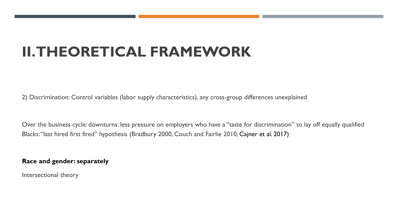## **II. THEORETICAL FRAMEWORK**

2) Discrimination: Control variables (labor supply characteristics), any cross-group differences unexplained

Over the business cycle: downturns: less pressure on employers who have a "taste for discrimination" to lay off equally qualified Blacks: "last hired first fired" hypothesis (Bradbury 2000, Couch and Fairlie 2010, Cajner et al. 2017)

**Race and gender: separately**

Intersectional theory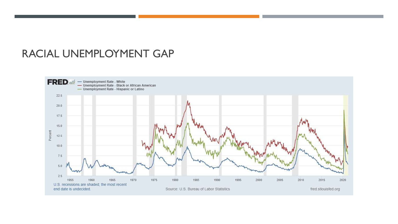### RACIAL UNEMPLOYMENT GAP

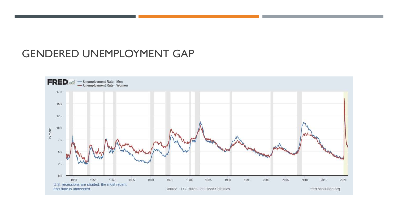### GENDERED UNEMPLOYMENT GAP

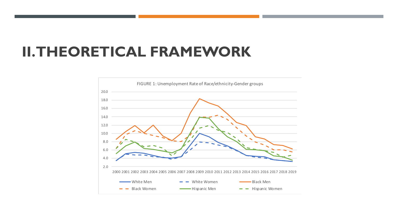### **II. THEORETICAL FRAMEWORK**

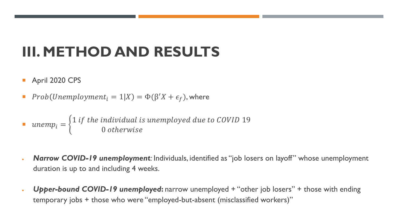## **III. METHOD AND RESULTS**

- April 2020 CPS
- Prob(Unemployment<sub>i</sub> = 1|X) =  $\Phi(\beta'X + \epsilon_f)$ , where

 $\blacksquare$  unemp<sub>i</sub> =  $\}$ 1 if the individual is unemployed due to COVID 19 0 otherwise

- *Narrow COVID-19 unemployment:* Individuals, identified as "job losers on layoff" whose unemployment duration is up to and including 4 weeks.
- *Upper-bound COVID-19 unemployed***:** narrow unemployed + "other job losers" + those with ending temporary jobs + those who were "employed-but-absent (misclassified workers)"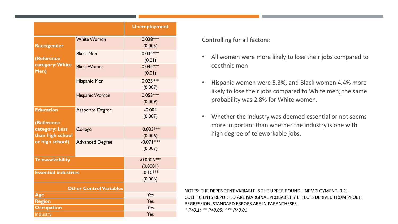|                                                  |                          | <b>Unemployment</b>    |  |  |  |
|--------------------------------------------------|--------------------------|------------------------|--|--|--|
| Race/gender                                      | <b>White Women</b>       | $0.028***$<br>(0.005)  |  |  |  |
| (Reference                                       | <b>Black Men</b>         | $0.034***$<br>(0.01)   |  |  |  |
| category: White<br>Men)                          | <b>Black Women</b>       | $0.044***$<br>(0.01)   |  |  |  |
|                                                  | Hispanic Men             | $0.023***$<br>(0.007)  |  |  |  |
|                                                  | <b>Hispanic Women</b>    | $0.053***$<br>(0.009)  |  |  |  |
| <b>Education</b>                                 | <b>Associate Degree</b>  | $-0.004$<br>(0.007)    |  |  |  |
| (Reference<br>category: Less<br>than high school | College                  | $-0.035***$<br>(0.006) |  |  |  |
| or high school)                                  | <b>Advanced Degree</b>   | $-0.071***$<br>(0.007) |  |  |  |
| <b>Teleworkability</b>                           | $-0.0006***$<br>(0.0001) |                        |  |  |  |
| <b>Essential industries</b>                      | $-0.10***$<br>(0.006)    |                        |  |  |  |
| <b>Other Control Variables</b>                   |                          |                        |  |  |  |
| Age                                              | Yes                      |                        |  |  |  |
| <b>Region</b>                                    | <b>Yes</b>               |                        |  |  |  |
| <b>Occupation</b>                                | Yes                      |                        |  |  |  |
| Industry                                         | Yes                      |                        |  |  |  |

Controlling for all factors:

- All women were more likely to lose their jobs compared to coethnic men
- Hispanic women were 5.3%, and Black women 4.4% more likely to lose their jobs compared to White men; the same probability was 2.8% for White women.
- Whether the industry was deemed essential or not seems more important than whether the industry is one with high degree of teleworkable jobs.

NOTES: THE DEPENDENT VARIABLE IS THE UPPER BOUND UNEMPLOYMENT (0,1). COEFFICIENTS REPORTED ARE MARGINAL PROBABILITY EFFECTS DERIVED FROM PROBIT REGRESSION. STANDARD ERRORS ARE IN PARANTHESES. \* *P<0.1; \*\* P<0.05; \*\*\* P<0.01*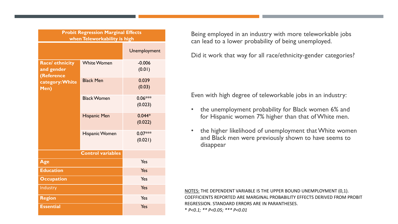| <b>Probit Regression Marginal Effects</b><br>when Teleworkability is high |                       |                      |  |  |  |
|---------------------------------------------------------------------------|-----------------------|----------------------|--|--|--|
|                                                                           |                       | Unemployment         |  |  |  |
| <b>Race/ ethnicity</b><br>and gender<br>(Reference                        | <b>White Women</b>    | $-0.006$<br>(0.01)   |  |  |  |
| category: White<br>Men)                                                   | <b>Black Men</b>      | 0.039<br>(0.03)      |  |  |  |
|                                                                           | <b>Black Women</b>    | $0.06***$<br>(0.023) |  |  |  |
|                                                                           | <b>Hispanic Men</b>   | $0.044*$<br>(0.022)  |  |  |  |
|                                                                           | <b>Hispanic Women</b> | $0.07***$<br>(0.021) |  |  |  |
| <b>Control variables</b>                                                  |                       |                      |  |  |  |
| Age                                                                       | Yes                   |                      |  |  |  |
| <b>Education</b>                                                          | Yes                   |                      |  |  |  |
| <b>Occupation</b>                                                         | Yes                   |                      |  |  |  |
| Industry                                                                  | Yes                   |                      |  |  |  |
| <b>Region</b>                                                             | Yes                   |                      |  |  |  |
| <b>Essential</b>                                                          | Yes                   |                      |  |  |  |

Being employed in an industry with more teleworkable jobs can lead to a lower probability of being unemployed.

Did it work that way for all race/ethnicity-gender categories?

Even with high degree of teleworkable jobs in an industry:

- the unemployment probability for Black women 6% and for Hispanic women 7% higher than that of White men.
- the higher likelihood of unemployment that White women and Black men were previously shown to have seems to disappear

NOTES: THE DEPENDENT VARIABLE IS THE UPPER BOUND UNEMPLOYMENT (0,1). COEFFICIENTS REPORTED ARE MARGINAL PROBABILITY EFFECTS DERIVED FROM PROBIT REGRESSION. STANDARD ERRORS ARE IN PARANTHESES. \* *P<0.1; \*\* P<0.05; \*\*\* P<0.01*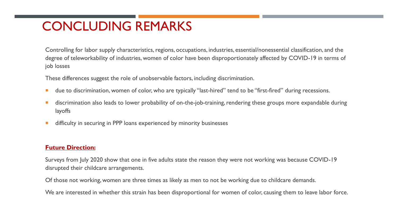### CONCLUDING REMARKS

Controlling for labor supply characteristics, regions, occupations, industries, essential/nonessential classification, and the degree of teleworkability of industries, women of color have been disproportionately affected by COVID-19 in terms of job losses

These differences suggest the role of unobservable factors, including discrimination.

- **due to discrimination, women of color, who are typically "last-hired" tend to be "first-fired" during recessions.**
- **discrimination also leads to lower probability of on-the-job-training, rendering these groups more expandable during** layoffs
- **difficulty in securing in PPP loans experienced by minority businesses**

#### **Future Direction:**

Surveys from July 2020 show that one in five adults state the reason they were not working was because COVID-19 disrupted their childcare arrangements.

Of those not working, women are three times as likely as men to not be working due to childcare demands.

We are interested in whether this strain has been disproportional for women of color, causing them to leave labor force.